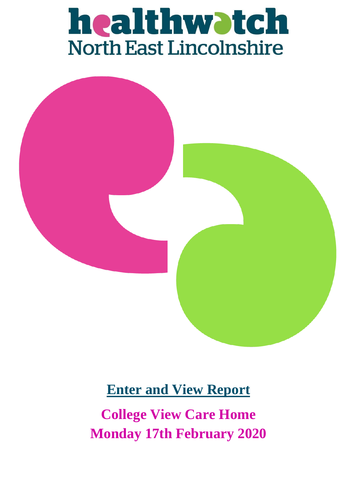# healthwatch<br>North East Lincolnshire



## **Enter and View Report**

**College View Care Home Monday 17th February 2020**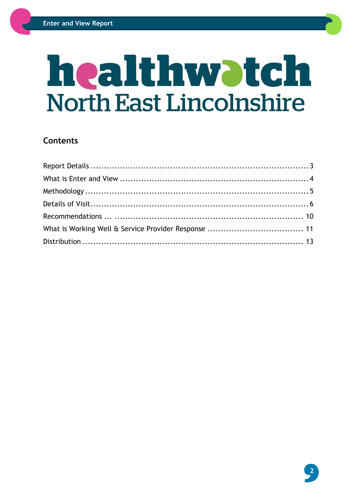## healthwatch **North East Lincolnshire**

#### **Contents**

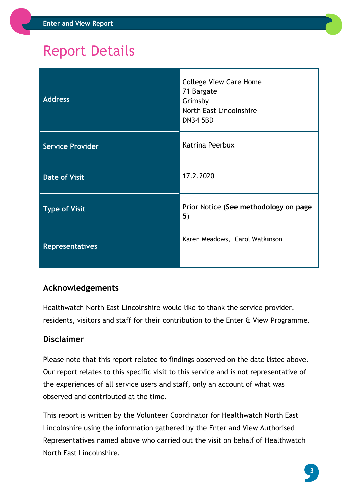## <span id="page-2-0"></span>Report Details

| <b>Address</b>          | <b>College View Care Home</b><br>71 Bargate<br>Grimsby<br>North East Lincolnshire<br><b>DN34 5BD</b> |
|-------------------------|------------------------------------------------------------------------------------------------------|
| <b>Service Provider</b> | Katrina Peerbux                                                                                      |
| <b>Date of Visit</b>    | 17.2.2020                                                                                            |
| <b>Type of Visit</b>    | Prior Notice (See methodology on page<br>5)                                                          |
| <b>Representatives</b>  | Karen Meadows, Carol Watkinson                                                                       |

#### **Acknowledgements**

Healthwatch North East Lincolnshire would like to thank the service provider, residents, visitors and staff for their contribution to the Enter & View Programme.

#### **Disclaimer**

Please note that this report related to findings observed on the date listed above. Our report relates to this specific visit to this service and is not representative of the experiences of all service users and staff, only an account of what was observed and contributed at the time.

This report is written by the Volunteer Coordinator for Healthwatch North East Lincolnshire using the information gathered by the Enter and View Authorised Representatives named above who carried out the visit on behalf of Healthwatch North East Lincolnshire.

**3**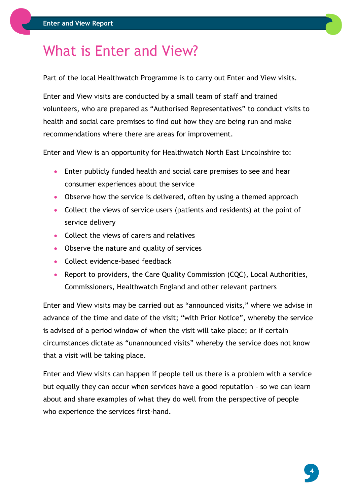## <span id="page-3-0"></span>What is Enter and View?

Part of the local Healthwatch Programme is to carry out Enter and View visits.

Enter and View visits are conducted by a small team of staff and trained volunteers, who are prepared as "Authorised Representatives" to conduct visits to health and social care premises to find out how they are being run and make recommendations where there are areas for improvement.

Enter and View is an opportunity for Healthwatch North East Lincolnshire to:

- Enter publicly funded health and social care premises to see and hear consumer experiences about the service
- Observe how the service is delivered, often by using a themed approach
- Collect the views of service users (patients and residents) at the point of service delivery
- Collect the views of carers and relatives
- Observe the nature and quality of services
- Collect evidence-based feedback
- Report to providers, the Care Quality Commission (CQC), Local Authorities, Commissioners, Healthwatch England and other relevant partners

Enter and View visits may be carried out as "announced visits," where we advise in advance of the time and date of the visit; "with Prior Notice", whereby the service is advised of a period window of when the visit will take place; or if certain circumstances dictate as "unannounced visits" whereby the service does not know that a visit will be taking place.

Enter and View visits can happen if people tell us there is a problem with a service but equally they can occur when services have a good reputation – so we can learn about and share examples of what they do well from the perspective of people who experience the services first-hand.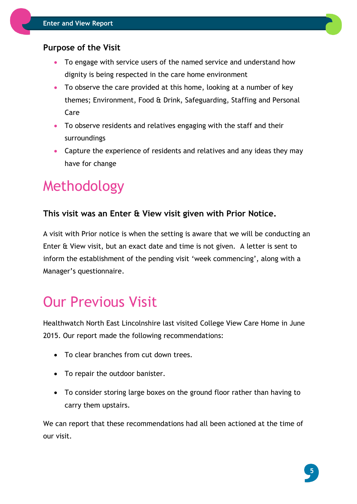#### **Purpose of the Visit**

- To engage with service users of the named service and understand how dignity is being respected in the care home environment
- To observe the care provided at this home, looking at a number of key themes; Environment, Food & Drink, Safeguarding, Staffing and Personal Care
- To observe residents and relatives engaging with the staff and their surroundings
- Capture the experience of residents and relatives and any ideas they may have for change

## <span id="page-4-0"></span>Methodology

#### **This visit was an Enter & View visit given with Prior Notice.**

A visit with Prior notice is when the setting is aware that we will be conducting an Enter & View visit, but an exact date and time is not given. A letter is sent to inform the establishment of the pending visit 'week commencing', along with a Manager's questionnaire.

## <span id="page-4-1"></span>Our Previous Visit

Healthwatch North East Lincolnshire last visited College View Care Home in June 2015. Our report made the following recommendations:

- To clear branches from cut down trees.
- To repair the outdoor banister.
- To consider storing large boxes on the ground floor rather than having to carry them upstairs.

We can report that these recommendations had all been actioned at the time of our visit.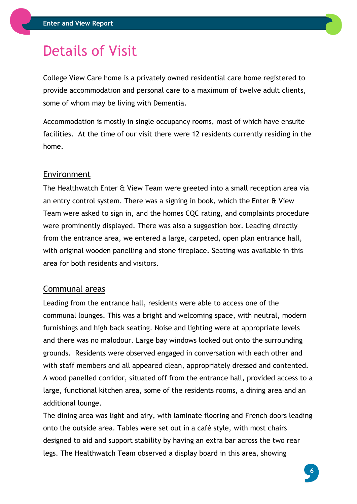## Details of Visit

College View Care home is a privately owned residential care home registered to provide accommodation and personal care to a maximum of twelve adult clients, some of whom may be living with Dementia.

Accommodation is mostly in single occupancy rooms, most of which have ensuite facilities. At the time of our visit there were 12 residents currently residing in the home.

#### Environment

The Healthwatch Enter & View Team were greeted into a small reception area via an entry control system. There was a signing in book, which the Enter & View Team were asked to sign in, and the homes CQC rating, and complaints procedure were prominently displayed. There was also a suggestion box. Leading directly from the entrance area, we entered a large, carpeted, open plan entrance hall, with original wooden panelling and stone fireplace. Seating was available in this area for both residents and visitors.

#### Communal areas

Leading from the entrance hall, residents were able to access one of the communal lounges. This was a bright and welcoming space, with neutral, modern furnishings and high back seating. Noise and lighting were at appropriate levels and there was no malodour. Large bay windows looked out onto the surrounding grounds. Residents were observed engaged in conversation with each other and with staff members and all appeared clean, appropriately dressed and contented. A wood panelled corridor, situated off from the entrance hall, provided access to a large, functional kitchen area, some of the residents rooms, a dining area and an additional lounge.

The dining area was light and airy, with laminate flooring and French doors leading onto the outside area. Tables were set out in a café style, with most chairs designed to aid and support stability by having an extra bar across the two rear legs. The Healthwatch Team observed a display board in this area, showing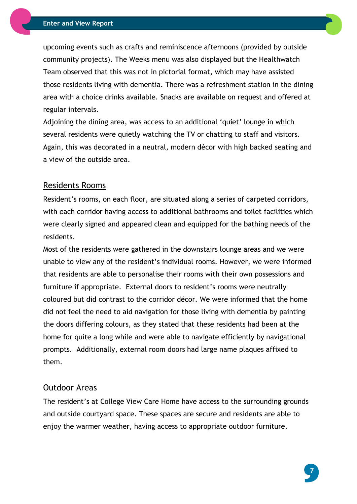upcoming events such as crafts and reminiscence afternoons (provided by outside community projects). The Weeks menu was also displayed but the Healthwatch Team observed that this was not in pictorial format, which may have assisted those residents living with dementia. There was a refreshment station in the dining area with a choice drinks available. Snacks are available on request and offered at regular intervals.

Adjoining the dining area, was access to an additional 'quiet' lounge in which several residents were quietly watching the TV or chatting to staff and visitors. Again, this was decorated in a neutral, modern décor with high backed seating and a view of the outside area.

#### Residents Rooms

Resident's rooms, on each floor, are situated along a series of carpeted corridors, with each corridor having access to additional bathrooms and toilet facilities which were clearly signed and appeared clean and equipped for the bathing needs of the residents.

Most of the residents were gathered in the downstairs lounge areas and we were unable to view any of the resident's individual rooms. However, we were informed that residents are able to personalise their rooms with their own possessions and furniture if appropriate. External doors to resident's rooms were neutrally coloured but did contrast to the corridor décor. We were informed that the home did not feel the need to aid navigation for those living with dementia by painting the doors differing colours, as they stated that these residents had been at the home for quite a long while and were able to navigate efficiently by navigational prompts. Additionally, external room doors had large name plaques affixed to them.

#### Outdoor Areas

The resident's at College View Care Home have access to the surrounding grounds and outside courtyard space. These spaces are secure and residents are able to enjoy the warmer weather, having access to appropriate outdoor furniture.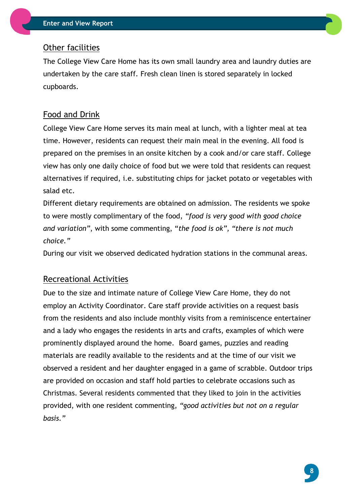#### Other facilities

The College View Care Home has its own small laundry area and laundry duties are undertaken by the care staff. Fresh clean linen is stored separately in locked cupboards.

#### Food and Drink

College View Care Home serves its main meal at lunch, with a lighter meal at tea time. However, residents can request their main meal in the evening. All food is prepared on the premises in an onsite kitchen by a cook and/or care staff. College view has only one daily choice of food but we were told that residents can request alternatives if required, i.e. substituting chips for jacket potato or vegetables with salad etc.

Different dietary requirements are obtained on admission. The residents we spoke to were mostly complimentary of the food, *"food is very good with good choice and variation"*, with some commenting, "*the food is ok", "there is not much choice."*

During our visit we observed dedicated hydration stations in the communal areas.

#### Recreational Activities

Due to the size and intimate nature of College View Care Home, they do not employ an Activity Coordinator. Care staff provide activities on a request basis from the residents and also include monthly visits from a reminiscence entertainer and a lady who engages the residents in arts and crafts, examples of which were prominently displayed around the home. Board games, puzzles and reading materials are readily available to the residents and at the time of our visit we observed a resident and her daughter engaged in a game of scrabble. Outdoor trips are provided on occasion and staff hold parties to celebrate occasions such as Christmas. Several residents commented that they liked to join in the activities provided, with one resident commenting, *"good activities but not on a regular basis."*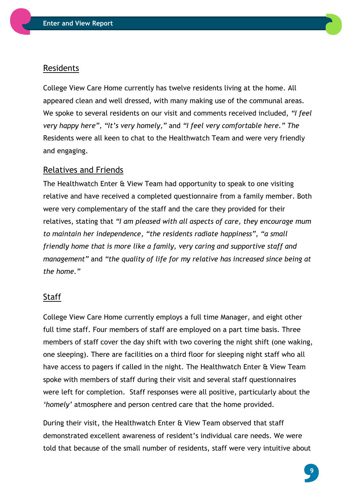

College View Care Home currently has twelve residents living at the home. All appeared clean and well dressed, with many making use of the communal areas. We spoke to several residents on our visit and comments received included, *"I feel very happy here", "It's very homely,"* and *"I feel very comfortable here." The*  Residents were all keen to chat to the Healthwatch Team and were very friendly and engaging.

#### <span id="page-8-0"></span>Relatives and Friends

The Healthwatch Enter & View Team had opportunity to speak to one visiting relative and have received a completed questionnaire from a family member. Both were very complementary of the staff and the care they provided for their relatives, stating that *"I am pleased with all aspects of care, they encourage mum to maintain her independence, "the residents radiate happiness", "a small friendly home that is more like a family, very caring and supportive staff and management"* and *"the quality of life for my relative has increased since being at the home."*

#### Staff

College View Care Home currently employs a full time Manager, and eight other full time staff. Four members of staff are employed on a part time basis. Three members of staff cover the day shift with two covering the night shift (one waking, one sleeping). There are facilities on a third floor for sleeping night staff who all have access to pagers if called in the night. The Healthwatch Enter & View Team spoke with members of staff during their visit and several staff questionnaires were left for completion. Staff responses were all positive, particularly about the *'homely'* atmosphere and person centred care that the home provided.

During their visit, the Healthwatch Enter & View Team observed that staff demonstrated excellent awareness of resident's individual care needs. We were told that because of the small number of residents, staff were very intuitive about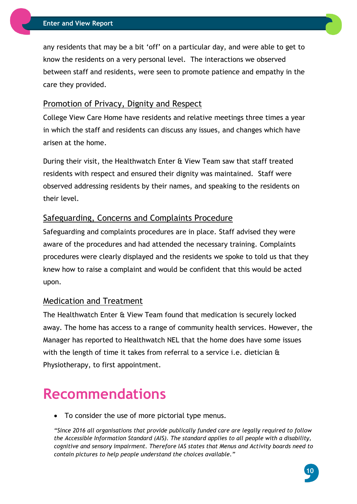any residents that may be a bit 'off' on a particular day, and were able to get to know the residents on a very personal level. The interactions we observed between staff and residents, were seen to promote patience and empathy in the care they provided.

#### Promotion of Privacy, Dignity and Respect

College View Care Home have residents and relative meetings three times a year in which the staff and residents can discuss any issues, and changes which have arisen at the home.

During their visit, the Healthwatch Enter & View Team saw that staff treated residents with respect and ensured their dignity was maintained. Staff were observed addressing residents by their names, and speaking to the residents on their level.

#### Safeguarding, Concerns and Complaints Procedure

Safeguarding and complaints procedures are in place. Staff advised they were aware of the procedures and had attended the necessary training. Complaints procedures were clearly displayed and the residents we spoke to told us that they knew how to raise a complaint and would be confident that this would be acted upon.

#### Medication and Treatment

The Healthwatch Enter & View Team found that medication is securely locked away. The home has access to a range of community health services. However, the Manager has reported to Healthwatch NEL that the home does have some issues with the length of time it takes from referral to a service i.e. dietician & Physiotherapy, to first appointment.

### **Recommendations**

To consider the use of more pictorial type menus.

*"Since 2016 all organisations that provide publically funded care are legally required to follow the Accessible Information Standard (AIS). The standard applies to all people with a disability, cognitive and sensory impairment. Therefore IAS states that Menus and Activity boards need to contain pictures to help people understand the choices available."*